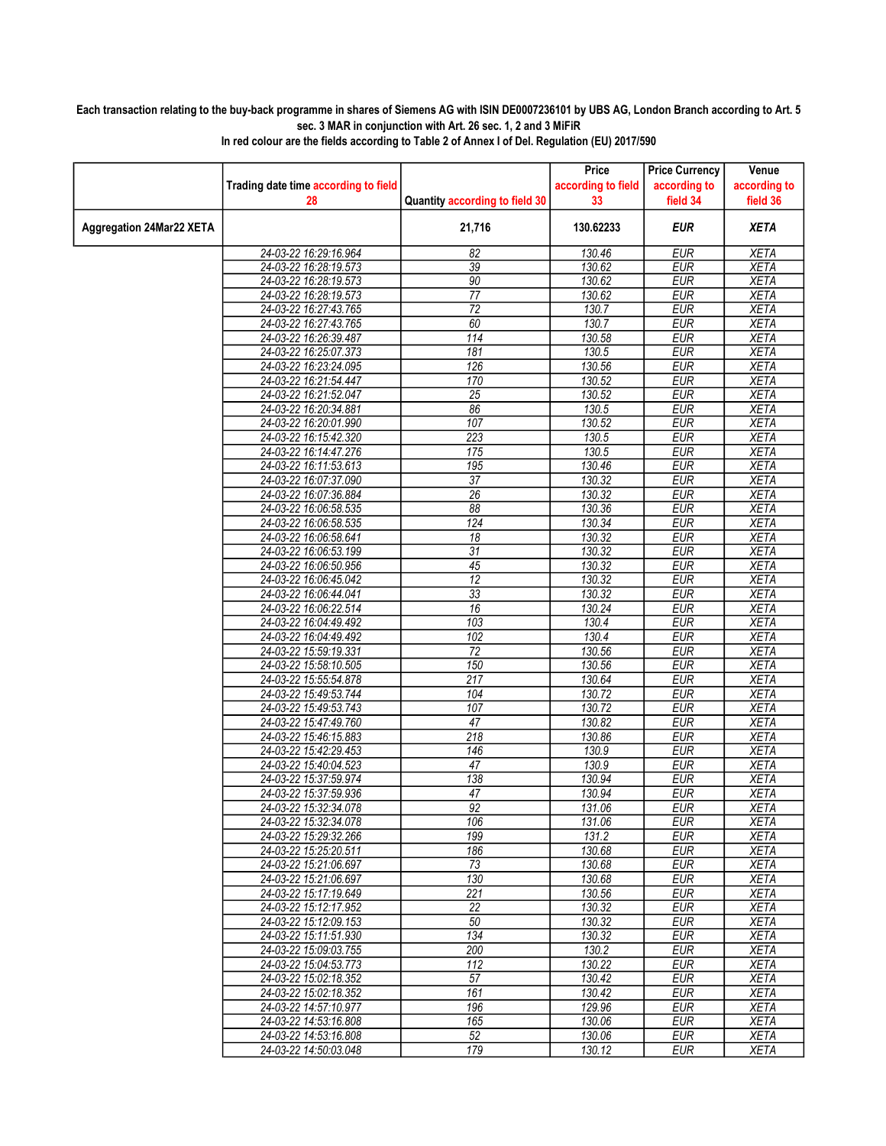## Each transaction relating to the buy-back programme in shares of Siemens AG with ISIN DE0007236101 by UBS AG, London Branch according to Art. 5 sec. 3 MAR in conjunction with Art. 26 sec. 1, 2 and 3 MiFiR

|                          |                                                |                                | Price                    | <b>Price Currency</b>    | Venue                      |
|--------------------------|------------------------------------------------|--------------------------------|--------------------------|--------------------------|----------------------------|
|                          | Trading date time according to field<br>28     | Quantity according to field 30 | according to field<br>33 | according to<br>field 34 | according to<br>field 36   |
| Aggregation 24Mar22 XETA |                                                | 21,716                         | 130.62233                | <b>EUR</b>               | <b>XETA</b>                |
|                          | 24-03-22 16:29:16.964                          | 82                             | 130.46                   | <b>EUR</b>               | <b>XETA</b>                |
|                          | 24-03-22 16:28:19.573                          | $\overline{39}$                | 130.62                   | <b>EUR</b>               | <b>XETA</b>                |
|                          | 24-03-22 16:28:19.573                          | 90                             | 130.62                   | <b>EUR</b>               | <b>XETA</b>                |
|                          | 24-03-22 16:28:19.573                          | $\overline{77}$                | 130.62                   | <b>EUR</b>               | <b>XETA</b>                |
|                          | 24-03-22 16:27:43.765                          | $\overline{72}$                | 130.7                    | <b>EUR</b>               | <b>XETA</b>                |
|                          | 24-03-22 16:27:43.765                          | 60                             | 130.7                    | <b>EUR</b>               | <b>XETA</b>                |
|                          | 24-03-22 16:26:39.487                          | 114                            | 130.58                   | <b>EUR</b>               | <b>XETA</b>                |
|                          | 24-03-22 16:25:07.373                          | 181                            | 130.5                    | <b>EUR</b>               | <b>XETA</b>                |
|                          | 24-03-22 16:23:24.095                          | 126                            | 130.56                   | EUR                      | <b>XETA</b>                |
|                          | 24-03-22 16:21:54.447                          | 170                            | 130.52                   | <b>EUR</b>               | <b>XETA</b>                |
|                          | 24-03-22 16:21:52.047                          | 25                             | 130.52                   | <b>EUR</b>               | <b>XETA</b>                |
|                          | 24-03-22 16:20:34.881                          | 86                             | 130.5                    | <b>EUR</b>               | <b>XETA</b>                |
|                          | 24-03-22 16:20:01.990                          | 107                            | 130.52                   | <b>EUR</b>               | <b>XETA</b>                |
|                          | 24-03-22 16:15:42.320                          | 223                            | 130.5                    | <b>EUR</b>               | <b>XETA</b>                |
|                          | 24-03-22 16:14:47.276                          | 175                            | 130.5                    | <b>EUR</b>               | <b>XETA</b>                |
|                          | 24-03-22 16:11:53.613                          | 195                            | 130.46                   | <b>EUR</b>               | <b>XETA</b>                |
|                          | 24-03-22 16:07:37.090                          | $\overline{37}$                | 130.32                   | <b>EUR</b>               | <b>XETA</b>                |
|                          | 24-03-22 16:07:36.884                          | $\overline{26}$                | 130.32                   | <b>EUR</b>               | <b>XETA</b>                |
|                          | 24-03-22 16:06:58.535                          | 88                             | 130.36                   | <b>EUR</b>               | <b>XETA</b>                |
|                          | 24-03-22 16:06:58.535                          | 124                            | 130.34                   | <b>EUR</b>               | <b>XETA</b>                |
|                          | 24-03-22 16:06:58.641                          | 18                             | 130.32                   | <b>EUR</b>               | <b>XETA</b>                |
|                          | 24-03-22 16:06:53.199                          | $\overline{31}$                | 130.32                   | <b>EUR</b>               | <b>XETA</b>                |
|                          | 24-03-22 16:06:50.956                          | $\overline{45}$                | 130.32                   | <b>EUR</b>               | <b>XETA</b>                |
|                          | 24-03-22 16:06:45.042                          | 12                             | 130.32                   | <b>EUR</b>               | <b>XETA</b>                |
|                          | 24-03-22 16:06:44.041                          | 33                             | 130.32                   | <b>EUR</b>               | <b>XETA</b>                |
|                          | 24-03-22 16:06:22.514                          | 16                             | 130.24                   | <b>EUR</b>               | <b>XETA</b>                |
|                          | 24-03-22 16:04:49.492                          | 103                            | 130.4                    | <b>EUR</b>               | <b>XETA</b>                |
|                          | 24-03-22 16:04:49.492                          | 102<br>$\overline{72}$         | 130.4<br>130.56          | <b>EUR</b>               | <b>XETA</b><br><b>XETA</b> |
|                          | 24-03-22 15:59:19.331                          |                                |                          | <b>EUR</b>               |                            |
|                          | 24-03-22 15:58:10.505                          | 150<br>$\overline{217}$        | 130.56                   | <b>EUR</b><br><b>EUR</b> | <b>XETA</b>                |
|                          | 24-03-22 15:55:54.878<br>24-03-22 15:49:53.744 | 104                            | 130.64<br>130.72         | <b>EUR</b>               | <b>XETA</b><br><b>XETA</b> |
|                          |                                                | 107                            | 130.72                   | <b>EUR</b>               | <b>XETA</b>                |
|                          | 24-03-22 15:49:53.743<br>24-03-22 15:47:49.760 | 47                             | 130.82                   | EUR                      | <b>XETA</b>                |
|                          | 24-03-22 15:46:15.883                          | 218                            | 130.86                   | <b>EUR</b>               | <b>XETA</b>                |
|                          | 24-03-22 15:42:29.453                          | 146                            | 130.9                    | <b>EUR</b>               | <b>XETA</b>                |
|                          | 24-03-22 15:40:04.523                          | $\overline{47}$                | 130.9                    | <b>EUR</b>               | <b>XETA</b>                |
|                          | 24-03-22 15:37:59.974                          | 138                            | 130.94                   | <b>EUR</b>               | <b>XETA</b>                |
|                          | 24-03-22 15:37:59.936                          | 47                             | 130.94                   | <b>EUR</b>               | <b>XETA</b>                |
|                          | 24-03-22 15:32:34.078                          | $\overline{92}$                | 131.06                   | <b>EUR</b>               | <b>XETA</b>                |
|                          | 24-03-22 15:32:34.078                          | 106                            | 131.06                   | <b>EUR</b>               | <b>XETA</b>                |
|                          | 24-03-22 15:29:32.266                          | 199                            | 131.2                    | <b>EUR</b>               | <b>XETA</b>                |
|                          | 24-03-22 15:25:20.511                          | 186                            | 130.68                   | <b>EUR</b>               | <b>XETA</b>                |
|                          | 24-03-22 15:21:06.697                          | 73                             | 130.68                   | <b>EUR</b>               | <b>XETA</b>                |
|                          | 24-03-22 15:21:06.697                          | 130                            | 130.68                   | <b>EUR</b>               | <b>XETA</b>                |
|                          | 24-03-22 15:17:19.649                          | 221                            | 130.56                   | <b>EUR</b>               | <b>XETA</b>                |
|                          | 24-03-22 15:12:17.952                          | 22                             | 130.32                   | <b>EUR</b>               | <b>XETA</b>                |
|                          | 24-03-22 15:12:09.153                          | 50                             | 130.32                   | <b>EUR</b>               | <b>XETA</b>                |
|                          | 24-03-22 15:11:51.930                          | 134                            | 130.32                   | <b>EUR</b>               | XETA                       |
|                          | 24-03-22 15:09:03.755                          | 200                            | 130.2                    | <b>EUR</b>               | <b>XETA</b>                |
|                          | 24-03-22 15:04:53.773                          | 112                            | 130.22                   | <b>EUR</b>               | <b>XETA</b>                |
|                          | 24-03-22 15:02:18.352                          | 57                             | 130.42                   | <b>EUR</b>               | <b>XETA</b>                |
|                          | 24-03-22 15:02:18.352                          | 161                            | 130.42                   | <b>EUR</b>               | <b>XETA</b>                |
|                          | 24-03-22 14:57:10.977                          | 196                            | 129.96                   | <b>EUR</b>               | <b>XETA</b>                |
|                          | 24-03-22 14:53:16.808                          | 165                            | 130.06                   | <b>EUR</b>               | <b>XETA</b>                |
|                          | 24-03-22 14:53:16.808                          | 52                             | 130.06                   | <b>EUR</b>               | <b>XETA</b>                |
|                          | 24-03-22 14:50:03.048                          | 179                            | 130.12                   | <b>EUR</b>               | <b>XETA</b>                |
|                          |                                                |                                |                          |                          |                            |

In red colour are the fields according to Table 2 of Annex I of Del. Regulation (EU) 2017/590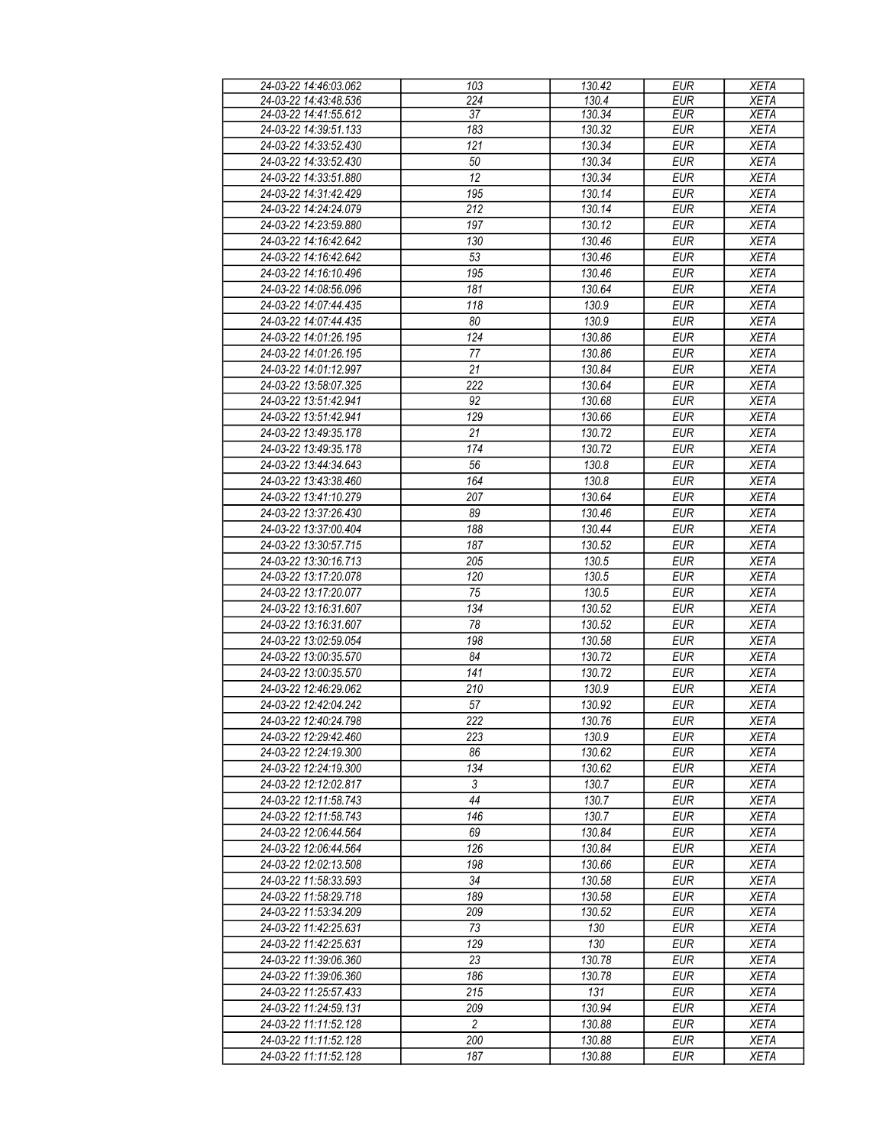| 24-03-22 14:46:03.062 | 103              | 130.42 | <b>EUR</b> | <b>XETA</b> |
|-----------------------|------------------|--------|------------|-------------|
| 24-03-22 14:43:48.536 | 224              | 130.4  | <b>EUR</b> | <b>XETA</b> |
| 24-03-22 14:41:55.612 | 37               | 130.34 | <b>EUR</b> | <b>XETA</b> |
| 24-03-22 14:39:51.133 | 183              | 130.32 | <b>EUR</b> | <b>XETA</b> |
| 24-03-22 14:33:52.430 | 121              | 130.34 | EUR        | <b>XETA</b> |
| 24-03-22 14:33:52.430 | 50               | 130.34 | <b>EUR</b> | <b>XETA</b> |
| 24-03-22 14:33:51.880 | 12               | 130.34 | EUR        | <b>XETA</b> |
| 24-03-22 14:31:42.429 | 195              | 130.14 | <b>EUR</b> | <b>XETA</b> |
| 24-03-22 14:24:24.079 | 212              | 130.14 | <b>EUR</b> | <b>XETA</b> |
| 24-03-22 14:23:59.880 | 197              | 130.12 | <b>EUR</b> | <b>XETA</b> |
| 24-03-22 14:16:42.642 | 130              | 130.46 | <b>EUR</b> | <b>XETA</b> |
|                       | 53               |        |            |             |
| 24-03-22 14:16:42.642 |                  | 130.46 | <b>EUR</b> | <b>XETA</b> |
| 24-03-22 14:16:10.496 | 195              | 130.46 | <b>EUR</b> | <b>XETA</b> |
| 24-03-22 14:08:56.096 | 181              | 130.64 | <b>EUR</b> | <b>XETA</b> |
| 24-03-22 14:07:44.435 | 118              | 130.9  | <b>EUR</b> | <b>XETA</b> |
| 24-03-22 14:07:44.435 | 80               | 130.9  | <b>EUR</b> | <b>XETA</b> |
| 24-03-22 14:01:26.195 | 124              | 130.86 | <b>EUR</b> | <b>XETA</b> |
| 24-03-22 14:01:26.195 | 77               | 130.86 | <b>EUR</b> | <b>XETA</b> |
| 24-03-22 14:01:12.997 | 21               | 130.84 | <b>EUR</b> | <b>XETA</b> |
| 24-03-22 13:58:07.325 | 222              | 130.64 | <b>EUR</b> | <b>XETA</b> |
| 24-03-22 13:51:42.941 | 92               | 130.68 | <b>EUR</b> | <b>XETA</b> |
| 24-03-22 13:51:42.941 | 129              | 130.66 | <b>EUR</b> | <b>XETA</b> |
| 24-03-22 13:49:35.178 | 21               | 130.72 | <b>EUR</b> | <b>XETA</b> |
| 24-03-22 13:49:35.178 | 174              | 130.72 | <b>EUR</b> | <b>XETA</b> |
| 24-03-22 13:44:34.643 | 56               | 130.8  | <b>EUR</b> | <b>XETA</b> |
| 24-03-22 13:43:38.460 | 164              | 130.8  | <b>EUR</b> | <b>XETA</b> |
| 24-03-22 13:41:10.279 | 207              | 130.64 | <b>EUR</b> | <b>XETA</b> |
| 24-03-22 13:37:26.430 | 89               | 130.46 | <b>EUR</b> | <b>XETA</b> |
|                       |                  |        | <b>EUR</b> |             |
| 24-03-22 13:37:00.404 | 188              | 130.44 |            | <b>XETA</b> |
| 24-03-22 13:30:57.715 | 187              | 130.52 | EUR        | <b>XETA</b> |
| 24-03-22 13:30:16.713 | 205              | 130.5  | <b>EUR</b> | <b>XETA</b> |
| 24-03-22 13:17:20.078 | 120              | 130.5  | EUR        | <b>XETA</b> |
| 24-03-22 13:17:20.077 | 75               | 130.5  | <b>EUR</b> | <b>XETA</b> |
| 24-03-22 13:16:31.607 | 134              | 130.52 | <b>EUR</b> | <b>XETA</b> |
| 24-03-22 13:16:31.607 | 78               | 130.52 | <b>EUR</b> | <b>XETA</b> |
| 24-03-22 13:02:59.054 | 198              | 130.58 | <b>EUR</b> | <b>XETA</b> |
| 24-03-22 13:00:35.570 | 84               | 130.72 | <b>EUR</b> | <b>XETA</b> |
| 24-03-22 13:00:35.570 | 141              | 130.72 | <b>EUR</b> | <b>XETA</b> |
| 24-03-22 12:46:29.062 | 210              | 130.9  | <b>EUR</b> | <b>XETA</b> |
| 24-03-22 12:42:04.242 | 57               | 130.92 | <b>EUR</b> | <b>XETA</b> |
| 24-03-22 12:40:24.798 | $\overline{222}$ | 130.76 | <b>EUR</b> | <b>XETA</b> |
| 24-03-22 12:29:42.460 | 223              | 130.9  | <b>EUR</b> | <b>XETA</b> |
| 24-03-22 12:24:19.300 | 86               | 130.62 | <b>EUR</b> | <b>XETA</b> |
| 24-03-22 12:24:19.300 | 134              | 130.62 | <b>EUR</b> | <b>XETA</b> |
| 24-03-22 12:12:02.817 | 3                | 130.7  | <b>EUR</b> | <b>XETA</b> |
| 24-03-22 12:11:58.743 | 44               | 130.7  | <b>EUR</b> | <b>XETA</b> |
| 24-03-22 12:11:58.743 | 146              | 130.7  | <b>EUR</b> | <b>XETA</b> |
| 24-03-22 12:06:44.564 | 69               | 130.84 | <b>EUR</b> | <b>XETA</b> |
| 24-03-22 12:06:44.564 | 126              | 130.84 | <b>EUR</b> | <b>XETA</b> |
| 24-03-22 12:02:13.508 | 198              | 130.66 | <b>EUR</b> | <b>XETA</b> |
| 24-03-22 11:58:33.593 | 34               | 130.58 | <b>EUR</b> | <b>XETA</b> |
| 24-03-22 11:58:29.718 |                  |        |            | <b>XETA</b> |
|                       | 189              | 130.58 | <b>EUR</b> |             |
| 24-03-22 11:53:34.209 | 209              | 130.52 | <b>EUR</b> | <b>XETA</b> |
| 24-03-22 11:42:25.631 | 73               | 130    | <b>EUR</b> | <b>XETA</b> |
| 24-03-22 11:42:25.631 | 129              | 130    | <b>EUR</b> | <b>XETA</b> |
| 24-03-22 11:39:06.360 | 23               | 130.78 | <b>EUR</b> | <b>XETA</b> |
| 24-03-22 11:39:06.360 | 186              | 130.78 | <b>EUR</b> | <b>XETA</b> |
| 24-03-22 11:25:57.433 | 215              | 131    | <b>EUR</b> | <b>XETA</b> |
| 24-03-22 11:24:59.131 | 209              | 130.94 | <b>EUR</b> | <b>XETA</b> |
| 24-03-22 11:11:52.128 | $\overline{c}$   | 130.88 | <b>EUR</b> | <b>XETA</b> |
| 24-03-22 11:11:52.128 | 200              | 130.88 | <b>EUR</b> | <b>XETA</b> |
| 24-03-22 11:11:52.128 | 187              | 130.88 | <b>EUR</b> | <b>XETA</b> |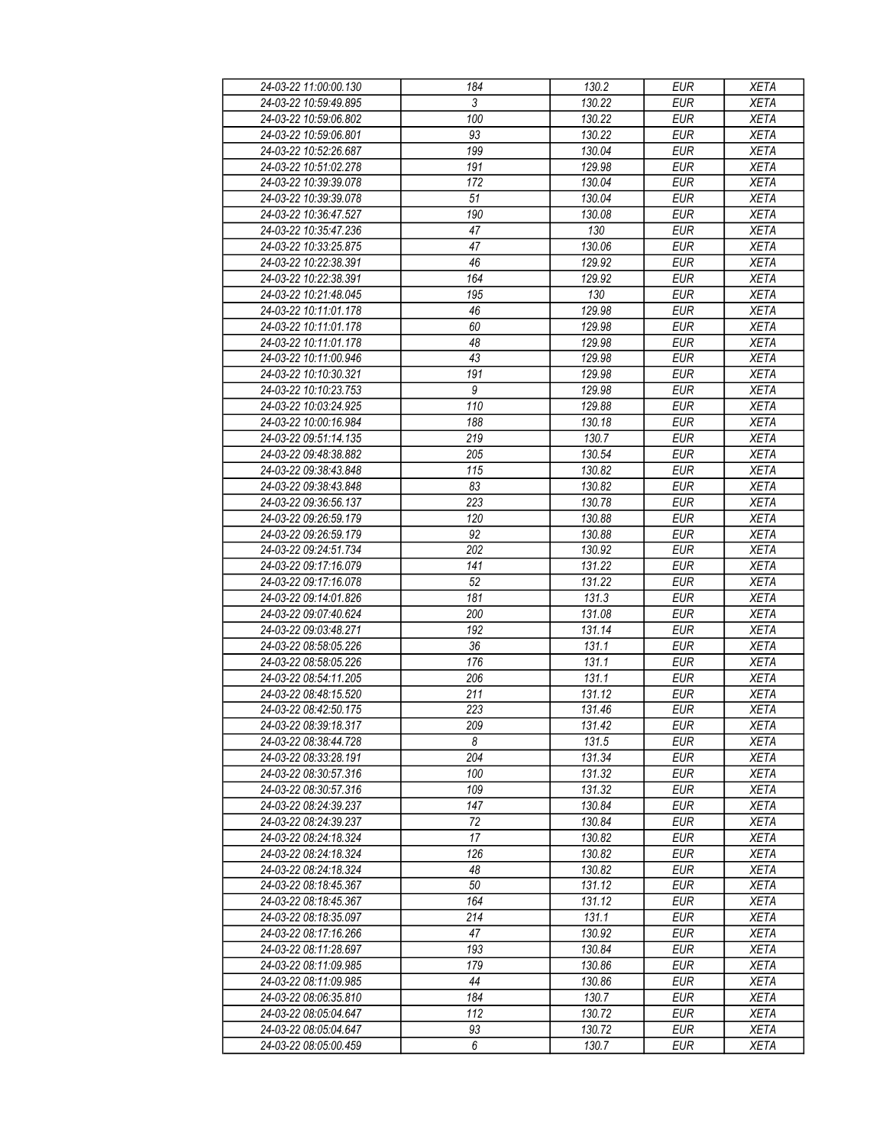| 24-03-22 11:00:00.130                          | 184            | 130.2              | <b>EUR</b> | <b>XETA</b>                |
|------------------------------------------------|----------------|--------------------|------------|----------------------------|
| 24-03-22 10:59:49.895                          | $\overline{3}$ | 130.22             | <b>EUR</b> | <b>XETA</b>                |
| 24-03-22 10:59:06.802                          | 100            | 130.22             | <b>EUR</b> | <b>XETA</b>                |
| 24-03-22 10:59:06.801                          | 93             | 130.22             | <b>EUR</b> | <b>XETA</b>                |
| 24-03-22 10:52:26.687                          | 199            | 130.04             | <b>EUR</b> | <b>XETA</b>                |
| 24-03-22 10:51:02.278                          | 191            | 129.98             | <b>EUR</b> | <b>XETA</b>                |
| 24-03-22 10:39:39.078                          | 172            | 130.04             | <b>EUR</b> | <b>XETA</b>                |
|                                                | 51             | 130.04             | <b>EUR</b> | <b>XETA</b>                |
| 24-03-22 10:39:39.078                          |                |                    |            |                            |
| 24-03-22 10:36:47.527                          | 190            | 130.08             | <b>EUR</b> | <b>XETA</b>                |
| 24-03-22 10:35:47.236                          | 47             | 130                | <b>EUR</b> | <b>XETA</b>                |
| 24-03-22 10:33:25.875                          | 47             | 130.06             | <b>EUR</b> | <b>XETA</b>                |
| 24-03-22 10:22:38.391                          | 46             | 129.92             | <b>EUR</b> | <b>XETA</b>                |
| 24-03-22 10:22:38.391                          | 164            | 129.92             | <b>EUR</b> | <b>XETA</b>                |
| 24-03-22 10:21:48.045                          | 195            | 130                | <b>EUR</b> | <b>XETA</b>                |
| 24-03-22 10:11:01.178                          | 46             | 129.98             | <b>EUR</b> | <b>XETA</b>                |
| 24-03-22 10:11:01.178                          | 60             | 129.98             | <b>EUR</b> | <b>XETA</b>                |
| 24-03-22 10:11:01.178                          | 48             | 129.98             | <b>EUR</b> | <b>XETA</b>                |
| 24-03-22 10:11:00.946                          | 43             | 129.98             | <b>EUR</b> | <b>XETA</b>                |
| 24-03-22 10:10:30.321                          | 191            | 129.98             | <b>EUR</b> | <b>XETA</b>                |
| 24-03-22 10:10:23.753                          | 9              | 129.98             | <b>EUR</b> | <b>XETA</b>                |
| 24-03-22 10:03:24.925                          | 110            | 129.88             | <b>EUR</b> | <b>XETA</b>                |
| 24-03-22 10:00:16.984                          | 188            | 130.18             | <b>EUR</b> | <b>XETA</b>                |
| 24-03-22 09:51:14.135                          | 219            | 130.7              | <b>EUR</b> | <b>XETA</b>                |
| 24-03-22 09:48:38.882                          | 205            | 130.54             | <b>EUR</b> | <b>XETA</b>                |
| 24-03-22 09:38:43.848                          | 115            | 130.82             | <b>EUR</b> | <b>XETA</b>                |
| 24-03-22 09:38:43.848                          | 83             | 130.82             | <b>EUR</b> | <b>XETA</b>                |
| 24-03-22 09:36:56.137                          | 223            | 130.78             | <b>EUR</b> | <b>XETA</b>                |
| 24-03-22 09:26:59.179                          | 120            | 130.88             | <b>EUR</b> | <b>XETA</b>                |
| 24-03-22 09:26:59.179                          | 92             | 130.88             | <b>EUR</b> | <b>XETA</b>                |
| 24-03-22 09:24:51.734                          | 202            | 130.92             | <b>EUR</b> | <b>XETA</b>                |
| 24-03-22 09:17:16.079                          | 141            | 131.22             | <b>EUR</b> | <b>XETA</b>                |
| 24-03-22 09:17:16.078                          | 52             | 131.22             | <b>EUR</b> | <b>XETA</b>                |
| 24-03-22 09:14:01.826                          | 181            | 131.3              | <b>EUR</b> | <b>XETA</b>                |
| 24-03-22 09:07:40.624                          | 200            | 131.08             | <b>EUR</b> | <b>XETA</b>                |
| 24-03-22 09:03:48.271                          | 192            | 131.14             | <b>EUR</b> | <b>XETA</b>                |
| 24-03-22 08:58:05.226                          | 36             | 131.1              | <b>EUR</b> | <b>XETA</b>                |
| 24-03-22 08:58:05.226                          | 176            | 131.1              | <b>EUR</b> | <b>XETA</b>                |
| 24-03-22 08:54:11.205                          | 206            | 131.1              | <b>EUR</b> | <b>XETA</b>                |
| 24-03-22 08:48:15.520                          | 211            | 131.12             | <b>EUR</b> | <b>XETA</b>                |
| 24-03-22 08:42:50.175                          | 223            | 131.46             | <b>EUR</b> | <b>XETA</b>                |
| 24-03-22 08:39:18.317                          | 209            | 131.42             | <b>EUR</b> | <b>XETA</b>                |
| 24-03-22 08:38:44.728                          | 8              | 131.5              | <b>EUR</b> | <b>XETA</b>                |
| 24-03-22 08:33:28.191                          | 204            | 131.34             | <b>EUR</b> | <b>XETA</b>                |
| 24-03-22 08:30:57.316                          | 100            | 131.32             | <b>EUR</b> | <b>XETA</b>                |
|                                                | 109            |                    | <b>EUR</b> |                            |
| 24-03-22 08:30:57.316<br>24-03-22 08:24:39.237 | 147            | 131.32<br>130.84   | <b>EUR</b> | <b>XETA</b><br><b>XETA</b> |
| 24-03-22 08:24:39.237                          |                |                    |            |                            |
|                                                | 72             | 130.84             | <b>EUR</b> | <b>XETA</b>                |
| 24-03-22 08:24:18.324                          | 17             | 130.82             | <b>EUR</b> | <b>XETA</b>                |
| 24-03-22 08:24:18.324                          | 126            | 130.82             | <b>EUR</b> | <b>XETA</b>                |
| 24-03-22 08:24:18.324                          | 48             | 130.82             | <b>EUR</b> | <b>XETA</b>                |
| 24-03-22 08:18:45.367                          | 50             | 131.12             | <b>EUR</b> | <b>XETA</b>                |
| 24-03-22 08:18:45.367                          | 164            | 131.12             | <b>EUR</b> | <b>XETA</b>                |
| 24-03-22 08:18:35.097                          | 214            | 131.1              | <b>EUR</b> | <b>XETA</b>                |
| 24-03-22 08:17:16.266                          | 47             | 130.92             | <b>EUR</b> | <b>XETA</b>                |
| 24-03-22 08:11:28.697                          | 193            | 130.84             | <b>EUR</b> | <b>XETA</b>                |
| 24-03-22 08:11:09.985                          | 179            | 130.86             | <b>EUR</b> | <b>XETA</b>                |
| 24-03-22 08:11:09.985                          | 44             | 130.86             | <b>EUR</b> | <b>XETA</b>                |
| 24-03-22 08:06:35.810                          | 184            | $\overline{1}30.7$ | <b>EUR</b> | <b>XETA</b>                |
| 24-03-22 08:05:04.647                          | 112            | 130.72             | <b>EUR</b> | <b>XETA</b>                |
| 24-03-22 08:05:04.647                          | 93             | 130.72             | <b>EUR</b> | <b>XETA</b>                |
| 24-03-22 08:05:00.459                          | 6              | 130.7              | <b>EUR</b> | <b>XETA</b>                |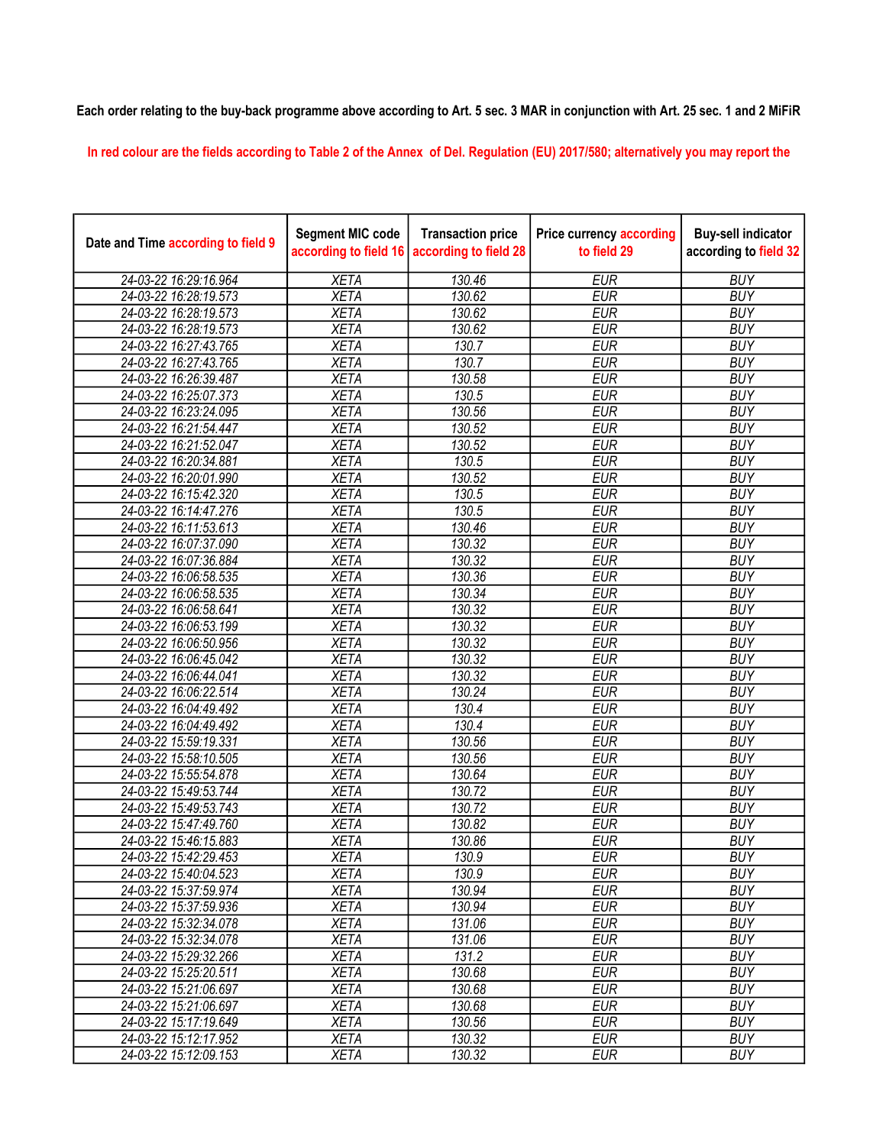## Each order relating to the buy-back programme above according to Art. 5 sec. 3 MAR in conjunction with Art. 25 sec. 1 and 2 MiFiR

In red colour are the fields according to Table 2 of the Annex of Del. Regulation (EU) 2017/580; alternatively you may report the

| Date and Time according to field 9 | <b>Segment MIC code</b><br>according to field 16 | <b>Transaction price</b><br>according to field 28 | <b>Price currency according</b><br>to field 29 | <b>Buy-sell indicator</b><br>according to field 32 |
|------------------------------------|--------------------------------------------------|---------------------------------------------------|------------------------------------------------|----------------------------------------------------|
| 24-03-22 16:29:16.964              | <b>XETA</b>                                      | 130.46                                            | <b>EUR</b>                                     | <b>BUY</b>                                         |
| 24-03-22 16:28:19.573              | <b>XETA</b>                                      | 130.62                                            | <b>EUR</b>                                     | <b>BUY</b>                                         |
| 24-03-22 16:28:19.573              | <b>XETA</b>                                      | 130.62                                            | <b>EUR</b>                                     | <b>BUY</b>                                         |
| 24-03-22 16:28:19.573              | <b>XETA</b>                                      | 130.62                                            | <b>EUR</b>                                     | <b>BUY</b>                                         |
| 24-03-22 16:27:43.765              | <b>XETA</b>                                      | 130.7                                             | <b>EUR</b>                                     | <b>BUY</b>                                         |
| 24-03-22 16:27:43.765              | <b>XETA</b>                                      | 130.7                                             | <b>EUR</b>                                     | <b>BUY</b>                                         |
| 24-03-22 16:26:39.487              | <b>XETA</b>                                      | 130.58                                            | <b>EUR</b>                                     | <b>BUY</b>                                         |
| 24-03-22 16:25:07.373              | <b>XETA</b>                                      | 130.5                                             | <b>EUR</b>                                     | <b>BUY</b>                                         |
| 24-03-22 16:23:24.095              | <b>XETA</b>                                      | 130.56                                            | <b>EUR</b>                                     | <b>BUY</b>                                         |
| 24-03-22 16:21:54.447              | <b>XETA</b>                                      | 130.52                                            | <b>EUR</b>                                     | <b>BUY</b>                                         |
| 24-03-22 16:21:52.047              | <b>XETA</b>                                      | 130.52                                            | <b>EUR</b>                                     | <b>BUY</b>                                         |
| 24-03-22 16:20:34.881              | <b>XETA</b>                                      | 130.5                                             | <b>EUR</b>                                     | <b>BUY</b>                                         |
| 24-03-22 16:20:01.990              | <b>XETA</b>                                      | 130.52                                            | <b>EUR</b>                                     | <b>BUY</b>                                         |
| 24-03-22 16:15:42.320              | <b>XETA</b>                                      | 130.5                                             | <b>EUR</b>                                     | <b>BUY</b>                                         |
| 24-03-22 16:14:47.276              | <b>XETA</b>                                      | 130.5                                             | <b>EUR</b>                                     | <b>BUY</b>                                         |
| 24-03-22 16:11:53.613              | <b>XETA</b>                                      | 130.46                                            | <b>EUR</b>                                     | <b>BUY</b>                                         |
| 24-03-22 16:07:37.090              | <b>XETA</b>                                      | 130.32                                            | <b>EUR</b>                                     | <b>BUY</b>                                         |
| 24-03-22 16:07:36.884              | <b>XETA</b>                                      | 130.32                                            | <b>EUR</b>                                     | <b>BUY</b>                                         |
| 24-03-22 16:06:58.535              | <b>XETA</b>                                      | 130.36                                            | <b>EUR</b>                                     | <b>BUY</b>                                         |
| 24-03-22 16:06:58.535              | <b>XETA</b>                                      | 130.34                                            | <b>EUR</b>                                     | <b>BUY</b>                                         |
| 24-03-22 16:06:58.641              | <b>XETA</b>                                      | 130.32                                            | <b>EUR</b>                                     | <b>BUY</b>                                         |
| 24-03-22 16:06:53.199              | <b>XETA</b>                                      | 130.32                                            | <b>EUR</b>                                     | <b>BUY</b>                                         |
| 24-03-22 16:06:50.956              | <b>XETA</b>                                      | 130.32                                            | <b>EUR</b>                                     | <b>BUY</b>                                         |
| 24-03-22 16:06:45.042              | <b>XETA</b>                                      | 130.32                                            | <b>EUR</b>                                     | <b>BUY</b>                                         |
| 24-03-22 16:06:44.041              | <b>XETA</b>                                      | 130.32                                            | <b>EUR</b>                                     | <b>BUY</b>                                         |
| 24-03-22 16:06:22.514              | <b>XETA</b>                                      | 130.24                                            | <b>EUR</b>                                     | <b>BUY</b>                                         |
| 24-03-22 16:04:49.492              | <b>XETA</b>                                      | 130.4                                             | <b>EUR</b>                                     | <b>BUY</b>                                         |
| 24-03-22 16:04:49.492              | <b>XETA</b>                                      | 130.4                                             | <b>EUR</b>                                     | <b>BUY</b>                                         |
| 24-03-22 15:59:19.331              | <b>XETA</b>                                      | 130.56                                            | <b>EUR</b>                                     | <b>BUY</b>                                         |
| 24-03-22 15:58:10.505              | <b>XETA</b>                                      | 130.56                                            | <b>EUR</b>                                     | <b>BUY</b>                                         |
| 24-03-22 15:55:54.878              | <b>XETA</b>                                      | 130.64                                            | <b>EUR</b>                                     | <b>BUY</b>                                         |
| 24-03-22 15:49:53.744              | <b>XETA</b>                                      | 130.72                                            | <b>EUR</b>                                     | <b>BUY</b>                                         |
| 24-03-22 15:49:53.743              | <b>XETA</b>                                      | 130.72                                            | <b>EUR</b>                                     | <b>BUY</b>                                         |
| 24-03-22 15:47:49.760              | <b>XETA</b>                                      | 130.82                                            | <b>EUR</b>                                     | <b>BUY</b>                                         |
| 24-03-22 15:46:15.883              | <b>XETA</b>                                      | 130.86                                            | <b>EUR</b>                                     | <b>BUY</b>                                         |
| 24-03-22 15:42:29.453              | <b>XETA</b>                                      | 130.9                                             | <b>EUR</b>                                     | <b>BUY</b>                                         |
| 24-03-22 15:40:04.523              | XETA                                             | 130.9                                             | EUR                                            | <b>BUY</b>                                         |
| 24-03-22 15:37:59.974              | <b>XETA</b>                                      | 130.94                                            | <b>EUR</b>                                     | <b>BUY</b>                                         |
| 24-03-22 15:37:59.936              | <b>XETA</b>                                      | 130.94                                            | <b>EUR</b>                                     | <b>BUY</b>                                         |
| 24-03-22 15:32:34.078              | <b>XETA</b>                                      | 131.06                                            | <b>EUR</b>                                     | <b>BUY</b>                                         |
| 24-03-22 15:32:34.078              | <b>XETA</b>                                      | 131.06                                            | <b>EUR</b>                                     | <b>BUY</b>                                         |
| 24-03-22 15:29:32.266              | <b>XETA</b>                                      | 131.2                                             | <b>EUR</b>                                     | <b>BUY</b>                                         |
| 24-03-22 15:25:20.511              | <b>XETA</b>                                      | 130.68                                            | <b>EUR</b>                                     | <b>BUY</b>                                         |
| 24-03-22 15:21:06.697              | <b>XETA</b>                                      | 130.68                                            | <b>EUR</b>                                     | <b>BUY</b>                                         |
| 24-03-22 15:21:06.697              | <b>XETA</b>                                      | 130.68                                            | <b>EUR</b>                                     | <b>BUY</b>                                         |
| 24-03-22 15:17:19.649              | <b>XETA</b>                                      | 130.56                                            | <b>EUR</b>                                     | <b>BUY</b>                                         |
| 24-03-22 15:12:17.952              | <b>XETA</b>                                      | 130.32                                            | EUR                                            | <b>BUY</b>                                         |
| 24-03-22 15:12:09.153              | <b>XETA</b>                                      | 130.32                                            | <b>EUR</b>                                     | <b>BUY</b>                                         |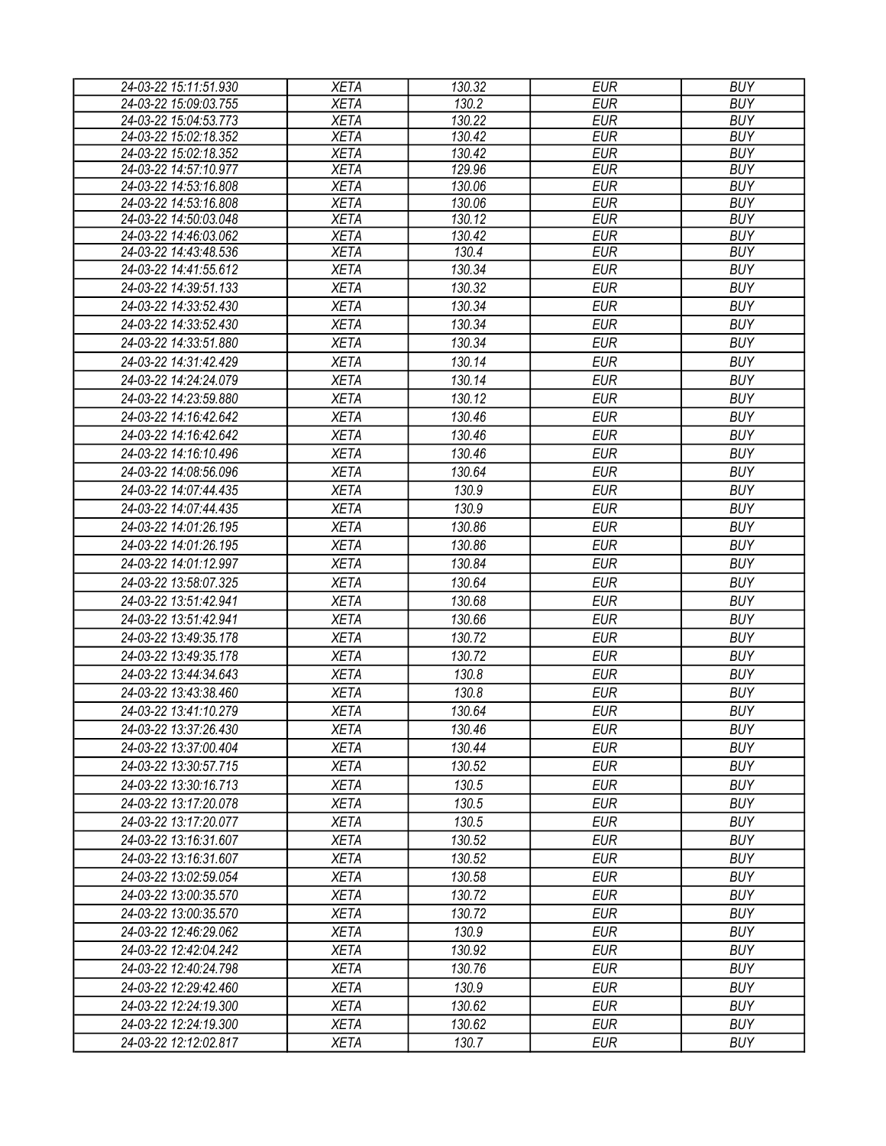| 24-03-22 15:11:51.930 | <b>XETA</b> | 130.32             | <b>EUR</b> | <b>BUY</b> |
|-----------------------|-------------|--------------------|------------|------------|
| 24-03-22 15:09:03.755 | <b>XETA</b> | 130.2              | <b>EUR</b> | <b>BUY</b> |
| 24-03-22 15:04:53.773 | <b>XETA</b> | $\frac{1}{130.22}$ | <b>EUR</b> | <b>BUY</b> |
| 24-03-22 15:02:18.352 | <b>XETA</b> | 130.42             | <b>EUR</b> | <b>BUY</b> |
| 24-03-22 15:02:18.352 | <b>XETA</b> | 130.42             | <b>EUR</b> | <b>BUY</b> |
| 24-03-22 14:57:10.977 | <b>XETA</b> | 129.96             | <b>EUR</b> | <b>BUY</b> |
| 24-03-22 14:53:16.808 | <b>XETA</b> | 130.06             | <b>EUR</b> | <b>BUY</b> |
| 24-03-22 14:53:16.808 | <b>XETA</b> | 130.06             | <b>EUR</b> | <b>BUY</b> |
| 24-03-22 14:50:03.048 | <b>XETA</b> | 130.12             | <b>EUR</b> | <b>BUY</b> |
| 24-03-22 14:46:03.062 | <b>XETA</b> | 130.42             | <b>EUR</b> | <b>BUY</b> |
| 24-03-22 14:43:48.536 | <b>XETA</b> | 130.4              | <b>EUR</b> | <b>BUY</b> |
| 24-03-22 14:41:55.612 | <b>XETA</b> | 130.34             | <b>EUR</b> | <b>BUY</b> |
| 24-03-22 14:39:51.133 | <b>XETA</b> | 130.32             | <b>EUR</b> | <b>BUY</b> |
| 24-03-22 14:33:52.430 | <b>XETA</b> | 130.34             | <b>EUR</b> | <b>BUY</b> |
| 24-03-22 14:33:52.430 | <b>XETA</b> | 130.34             | <b>EUR</b> | <b>BUY</b> |
| 24-03-22 14:33:51.880 | <b>XETA</b> | 130.34             | <b>EUR</b> | <b>BUY</b> |
| 24-03-22 14:31:42.429 | <b>XETA</b> | 130.14             | <b>EUR</b> | <b>BUY</b> |
| 24-03-22 14:24:24.079 | <b>XETA</b> | 130.14             | <b>EUR</b> | <b>BUY</b> |
| 24-03-22 14:23:59.880 | <b>XETA</b> | 130.12             | <b>EUR</b> | <b>BUY</b> |
| 24-03-22 14:16:42.642 | <b>XETA</b> | 130.46             | <b>EUR</b> | <b>BUY</b> |
| 24-03-22 14:16:42.642 | <b>XETA</b> | 130.46             | <b>EUR</b> | <b>BUY</b> |
| 24-03-22 14:16:10.496 | <b>XETA</b> | 130.46             | <b>EUR</b> | <b>BUY</b> |
| 24-03-22 14:08:56.096 | <b>XETA</b> | 130.64             | <b>EUR</b> | <b>BUY</b> |
| 24-03-22 14:07:44.435 | <b>XETA</b> | 130.9              | <b>EUR</b> | <b>BUY</b> |
| 24-03-22 14:07:44.435 | <b>XETA</b> | 130.9              | <b>EUR</b> | <b>BUY</b> |
| 24-03-22 14:01:26.195 | <b>XETA</b> | 130.86             | <b>EUR</b> | <b>BUY</b> |
| 24-03-22 14:01:26.195 | <b>XETA</b> | 130.86             | <b>EUR</b> | <b>BUY</b> |
| 24-03-22 14:01:12.997 | <b>XETA</b> | 130.84             | <b>EUR</b> | <b>BUY</b> |
| 24-03-22 13:58:07.325 | <b>XETA</b> | 130.64             | <b>EUR</b> | <b>BUY</b> |
| 24-03-22 13:51:42.941 | <b>XETA</b> | 130.68             | <b>EUR</b> | <b>BUY</b> |
| 24-03-22 13:51:42.941 |             |                    |            | <b>BUY</b> |
|                       | <b>XETA</b> | 130.66             | <b>EUR</b> |            |
| 24-03-22 13:49:35.178 | <b>XETA</b> | 130.72             | <b>EUR</b> | <b>BUY</b> |
| 24-03-22 13:49:35.178 | <b>XETA</b> | 130.72             | <b>EUR</b> | <b>BUY</b> |
| 24-03-22 13:44:34.643 | <b>XETA</b> | 130.8              | <b>EUR</b> | <b>BUY</b> |
| 24-03-22 13:43:38.460 | <b>XETA</b> | 130.8              | <b>EUR</b> | <b>BUY</b> |
| 24-03-22 13:41:10.279 | <b>XETA</b> | 130.64             | <b>EUR</b> | <b>BUY</b> |
| 24-03-22 13:37:26.430 | <b>XETA</b> | 130.46             | <b>EUR</b> | <b>BUY</b> |
| 24-03-22 13:37:00.404 | <b>XETA</b> | 130.44             | <b>EUR</b> | <b>BUY</b> |
| 24-03-22 13:30:57.715 | <b>XETA</b> | 130.52             | <b>EUR</b> | <b>BUY</b> |
| 24-03-22 13:30:16.713 | <b>XETA</b> | 130.5              | <b>EUR</b> | <b>BUY</b> |
| 24-03-22 13:17:20.078 | <b>XETA</b> | 130.5              | <b>EUR</b> | <b>BUY</b> |
| 24-03-22 13:17:20.077 | <b>XETA</b> | 130.5              | <b>EUR</b> | <b>BUY</b> |
| 24-03-22 13:16:31.607 | <b>XETA</b> | 130.52             | <b>EUR</b> | <b>BUY</b> |
| 24-03-22 13:16:31.607 | <b>XETA</b> | 130.52             | <b>EUR</b> | <b>BUY</b> |
| 24-03-22 13:02:59.054 | <b>XETA</b> | 130.58             | <b>EUR</b> | <b>BUY</b> |
| 24-03-22 13:00:35.570 | <b>XETA</b> | 130.72             | <b>EUR</b> | <b>BUY</b> |
| 24-03-22 13:00:35.570 | <b>XETA</b> | 130.72             | <b>EUR</b> | <b>BUY</b> |
| 24-03-22 12:46:29.062 | <b>XETA</b> | 130.9              | <b>EUR</b> | <b>BUY</b> |
| 24-03-22 12:42:04.242 | <b>XETA</b> | 130.92             | <b>EUR</b> | <b>BUY</b> |
| 24-03-22 12:40:24.798 | <b>XETA</b> | 130.76             | <b>EUR</b> | <b>BUY</b> |
| 24-03-22 12:29:42.460 | <b>XETA</b> | 130.9              | <b>EUR</b> | <b>BUY</b> |
| 24-03-22 12:24:19.300 | <b>XETA</b> | 130.62             | <b>EUR</b> | <b>BUY</b> |
| 24-03-22 12:24:19.300 | <b>XETA</b> | 130.62             | <b>EUR</b> | <b>BUY</b> |
| 24-03-22 12:12:02.817 | <b>XETA</b> | 130.7              | <b>EUR</b> | <b>BUY</b> |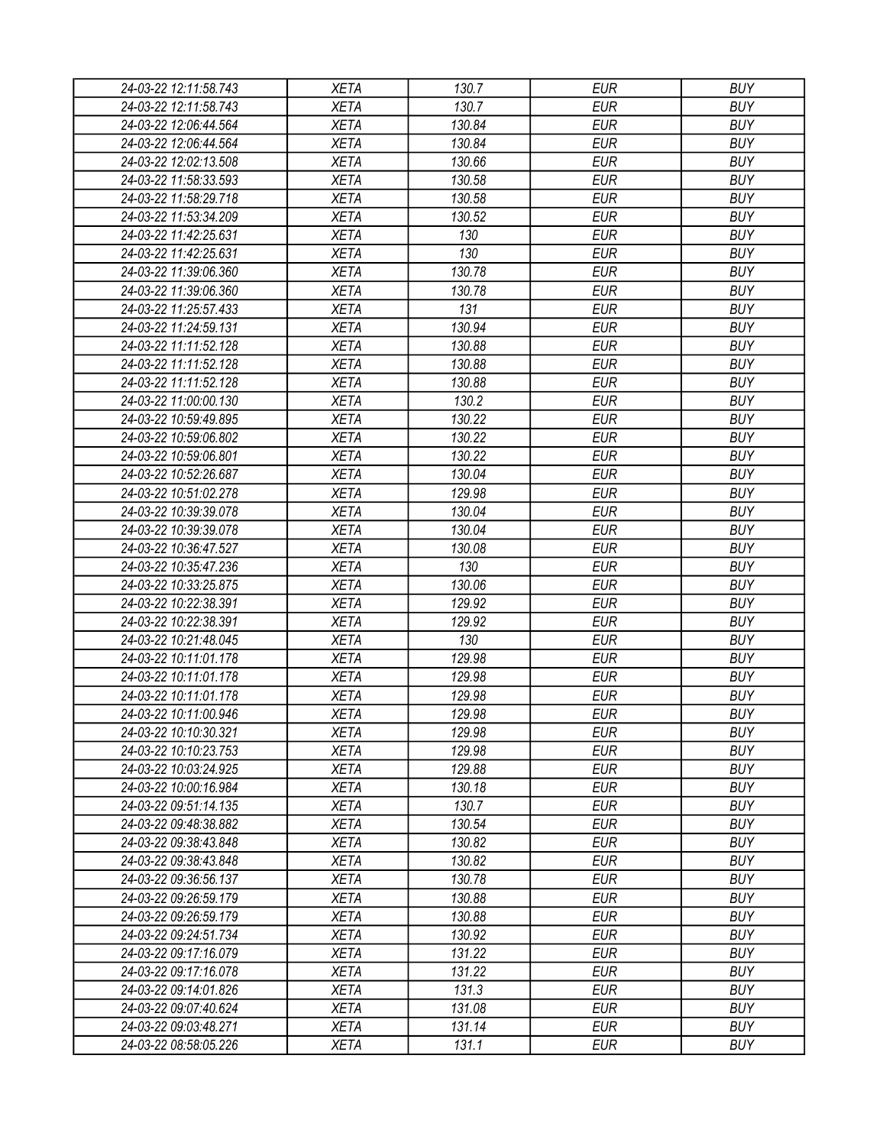| 24-03-22 12:11:58.743 | <b>XETA</b> | 130.7  | <b>EUR</b> | <b>BUY</b> |
|-----------------------|-------------|--------|------------|------------|
| 24-03-22 12:11:58.743 | <b>XETA</b> | 130.7  | <b>EUR</b> | <b>BUY</b> |
| 24-03-22 12:06:44.564 | <b>XETA</b> | 130.84 | <b>EUR</b> | <b>BUY</b> |
| 24-03-22 12:06:44.564 | <b>XETA</b> | 130.84 | <b>EUR</b> | <b>BUY</b> |
| 24-03-22 12:02:13.508 | <b>XETA</b> | 130.66 | <b>EUR</b> | <b>BUY</b> |
| 24-03-22 11:58:33.593 | <b>XETA</b> | 130.58 | <b>EUR</b> | <b>BUY</b> |
| 24-03-22 11:58:29.718 | <b>XETA</b> | 130.58 | <b>EUR</b> | <b>BUY</b> |
| 24-03-22 11:53:34.209 | <b>XETA</b> | 130.52 | <b>EUR</b> | <b>BUY</b> |
| 24-03-22 11:42:25.631 | <b>XETA</b> | 130    | <b>EUR</b> | <b>BUY</b> |
| 24-03-22 11:42:25.631 | <b>XETA</b> | 130    | <b>EUR</b> | <b>BUY</b> |
| 24-03-22 11:39:06.360 | <b>XETA</b> | 130.78 | <b>EUR</b> | <b>BUY</b> |
| 24-03-22 11:39:06.360 | <b>XETA</b> | 130.78 | <b>EUR</b> | <b>BUY</b> |
| 24-03-22 11:25:57.433 | <b>XETA</b> | 131    | <b>EUR</b> | <b>BUY</b> |
| 24-03-22 11:24:59.131 | <b>XETA</b> | 130.94 | <b>EUR</b> | <b>BUY</b> |
| 24-03-22 11:11:52.128 | <b>XETA</b> | 130.88 | <b>EUR</b> | <b>BUY</b> |
| 24-03-22 11:11:52.128 | <b>XETA</b> | 130.88 | <b>EUR</b> | <b>BUY</b> |
| 24-03-22 11:11:52.128 | <b>XETA</b> | 130.88 | <b>EUR</b> | <b>BUY</b> |
| 24-03-22 11:00:00.130 | <b>XETA</b> | 130.2  | <b>EUR</b> | <b>BUY</b> |
| 24-03-22 10:59:49.895 | <b>XETA</b> | 130.22 | <b>EUR</b> | <b>BUY</b> |
| 24-03-22 10:59:06.802 | <b>XETA</b> | 130.22 | <b>EUR</b> | <b>BUY</b> |
| 24-03-22 10:59:06.801 | <b>XETA</b> | 130.22 | <b>EUR</b> | <b>BUY</b> |
| 24-03-22 10:52:26.687 | <b>XETA</b> | 130.04 | <b>EUR</b> | <b>BUY</b> |
| 24-03-22 10:51:02.278 | <b>XETA</b> | 129.98 | <b>EUR</b> | <b>BUY</b> |
| 24-03-22 10:39:39.078 | <b>XETA</b> | 130.04 | <b>EUR</b> | <b>BUY</b> |
| 24-03-22 10:39:39.078 | <b>XETA</b> | 130.04 | <b>EUR</b> | <b>BUY</b> |
| 24-03-22 10:36:47.527 | <b>XETA</b> | 130.08 | <b>EUR</b> | <b>BUY</b> |
| 24-03-22 10:35:47.236 | <b>XETA</b> | 130    | <b>EUR</b> | <b>BUY</b> |
| 24-03-22 10:33:25.875 | <b>XETA</b> | 130.06 | <b>EUR</b> | <b>BUY</b> |
| 24-03-22 10:22:38.391 | <b>XETA</b> | 129.92 | <b>EUR</b> | <b>BUY</b> |
| 24-03-22 10:22:38.391 | <b>XETA</b> | 129.92 | <b>EUR</b> | <b>BUY</b> |
| 24-03-22 10:21:48.045 | <b>XETA</b> | 130    | <b>EUR</b> | <b>BUY</b> |
| 24-03-22 10:11:01.178 | <b>XETA</b> | 129.98 | <b>EUR</b> | <b>BUY</b> |
| 24-03-22 10:11:01.178 | <b>XETA</b> | 129.98 | <b>EUR</b> | <b>BUY</b> |
| 24-03-22 10:11:01.178 | <b>XETA</b> | 129.98 | <b>EUR</b> | <b>BUY</b> |
| 24-03-22 10:11:00.946 | <b>XETA</b> | 129.98 | <b>EUR</b> | <b>BUY</b> |
| 24-03-22 10:10:30.321 | <b>XETA</b> | 129.98 | <b>EUR</b> | <b>BUY</b> |
| 24-03-22 10:10:23.753 | <b>XETA</b> | 129.98 | <b>EUR</b> | <b>BUY</b> |
| 24-03-22 10:03:24.925 | <b>XETA</b> | 129.88 | <b>EUR</b> | <b>BUY</b> |
| 24-03-22 10:00:16.984 | <b>XETA</b> | 130.18 | <b>EUR</b> | <b>BUY</b> |
| 24-03-22 09:51:14.135 | <b>XETA</b> | 130.7  | <b>EUR</b> | <b>BUY</b> |
| 24-03-22 09:48:38.882 | <b>XETA</b> | 130.54 | <b>EUR</b> | <b>BUY</b> |
| 24-03-22 09:38:43.848 | <b>XETA</b> | 130.82 | <b>EUR</b> | <b>BUY</b> |
| 24-03-22 09:38:43.848 | <b>XETA</b> | 130.82 | <b>EUR</b> | <b>BUY</b> |
| 24-03-22 09:36:56.137 | <b>XETA</b> | 130.78 | <b>EUR</b> | <b>BUY</b> |
| 24-03-22 09:26:59.179 | <b>XETA</b> | 130.88 | <b>EUR</b> | <b>BUY</b> |
| 24-03-22 09:26:59.179 | <b>XETA</b> | 130.88 | <b>EUR</b> | <b>BUY</b> |
| 24-03-22 09:24:51.734 | <b>XETA</b> | 130.92 | <b>EUR</b> | <b>BUY</b> |
| 24-03-22 09:17:16.079 | <b>XETA</b> | 131.22 | <b>EUR</b> | <b>BUY</b> |
| 24-03-22 09:17:16.078 | <b>XETA</b> | 131.22 | <b>EUR</b> | <b>BUY</b> |
| 24-03-22 09:14:01.826 | <b>XETA</b> | 131.3  | <b>EUR</b> | <b>BUY</b> |
| 24-03-22 09:07:40.624 | <b>XETA</b> | 131.08 | <b>EUR</b> | <b>BUY</b> |
| 24-03-22 09:03:48.271 | <b>XETA</b> | 131.14 | <b>EUR</b> | <b>BUY</b> |
| 24-03-22 08:58:05.226 | <b>XETA</b> | 131.1  | <b>EUR</b> | <b>BUY</b> |